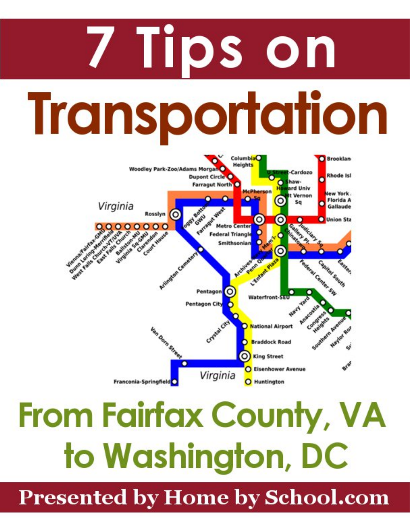# 7 Tips on **Transportation**



# From Fairfax County, VA to Washington, DC

**Presented by Home by School.com**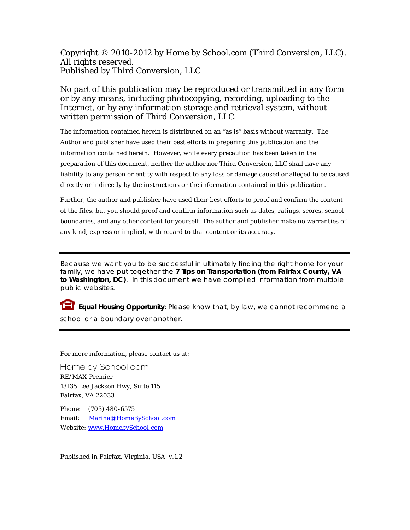Copyright © 2010-2012 by Home by School.com (Third Conversion, LLC). All rights reserved. Published by Third Conversion, LLC

No part of this publication may be reproduced or transmitted in any form or by any means, including photocopying, recording, uploading to the Internet, or by any information storage and retrieval system, without written permission of Third Conversion, LLC.

The information contained herein is distributed on an "as is" basis without warranty. The Author and publisher have used their best efforts in preparing this publication and the information contained herein. However, while every precaution has been taken in the preparation of this document, neither the author nor Third Conversion, LLC shall have any liability to any person or entity with respect to any loss or damage caused or alleged to be caused directly or indirectly by the instructions or the information contained in this publication.

Further, the author and publisher have used their best efforts to proof and confirm the content of the files, but you should proof and confirm information such as dates, ratings, scores, school boundaries, and any other content for yourself. The author and publisher make no warranties of any kind, express or implied, with regard to that content or its accuracy.

Because we want you to be successful in ultimately finding the right home for your family, we have put together the **7 Tips on Transportation (from Fairfax County, VA to Washington, DC)**. In this document we have compiled information from multiple public websites.

 **Equal Housing Opportunity**: Please know that, by law, we cannot recommend a school or a boundary over another.

For more information, please contact us at:

Home by School.com RE/MAX Premier 13135 Lee Jackson Hwy, Suite 115 Fairfax, VA 22033

Phone: (703) 480-6575 Email: [Marina@HomeBySchool.com](mailto:Marina@HomebySchool.com?subject=Question%20about%20transportation%20options) Website: <www.HomebySchool.com>

Published in Fairfax, Virginia, USA v.1.2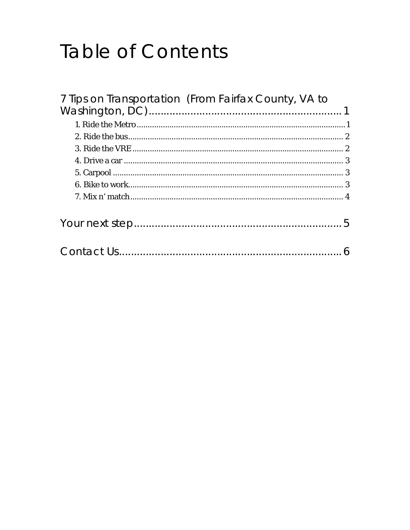# **Table of Contents**

| 7 Tips on Transportation (From Fairfax County, VA to |  |
|------------------------------------------------------|--|
|                                                      |  |
|                                                      |  |
|                                                      |  |
|                                                      |  |
|                                                      |  |
|                                                      |  |
|                                                      |  |
|                                                      |  |
|                                                      |  |
|                                                      |  |
|                                                      |  |
|                                                      |  |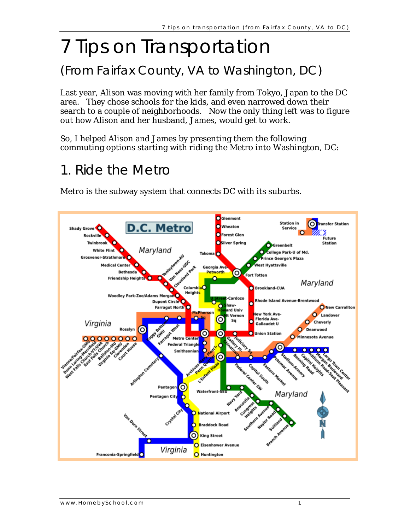# <span id="page-3-0"></span>7 Tips on Transportation

#### (From Fairfax County, VA to Washington, DC)

Last year, Alison was moving with her family from Tokyo, Japan to the DC area. They chose schools for the kids, and even narrowed down their search to a couple of neighborhoods. Now the only thing left was to figure out how Alison and her husband, James, would get to work.

So, I helped Alison and James by presenting them the following commuting options starting with riding the Metro into Washington, DC:

#### 1. Ride the Metro

Metro is the subway system that connects DC with its suburbs.

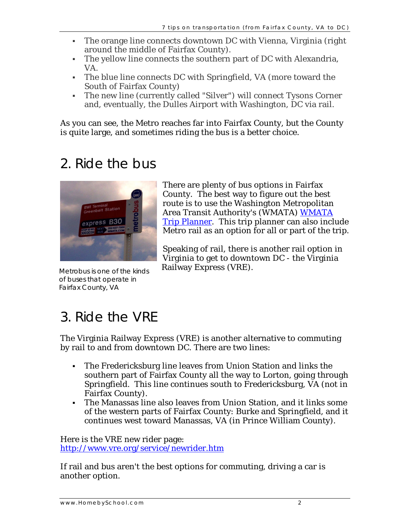- <span id="page-4-0"></span> The orange line connects downtown DC with Vienna, Virginia (right around the middle of Fairfax County).
- The yellow line connects the southern part of DC with Alexandria, VA.
- The blue line connects DC with Springfield, VA (more toward the South of Fairfax County)
- The new line (currently called "Silver") will connect Tysons Corner and, eventually, the Dulles Airport with Washington, DC via rail.

As you can see, the Metro reaches far into Fairfax County, but the County is quite large, and sometimes riding the bus is a better choice.

#### 2. Ride the bus



Metrobus is one of the kinds of buses that operate in Fairfax County, VA

There are plenty of bus options in Fairfax County. The best way to figure out the best route is to use the Washington Metropolitan Area Transit Authority's (WMATA) [WMATA](http://www.wmata.com/)  [Trip Planner](http://www.wmata.com/). This trip planner can also include Metro rail as an option for all or part of the trip.

Speaking of rail, there is another rail option in Virginia to get to downtown DC - the Virginia Railway Express (VRE).

#### 3. Ride the VRE

The Virginia Railway Express (VRE) is another alternative to commuting by rail to and from downtown DC. There are two lines:

- The Fredericksburg line leaves from Union Station and links the southern part of Fairfax County all the way to Lorton, going through Springfield. This line continues south to Fredericksburg, VA (not in Fairfax County).
- The Manassas line also leaves from Union Station, and it links some of the western parts of Fairfax County: Burke and Springfield, and it continues west toward Manassas, VA (in Prince William County).

Here is the VRE new rider page: <http://www.vre.org/service/newrider.htm>

If rail and bus aren't the best options for commuting, driving a car is another option.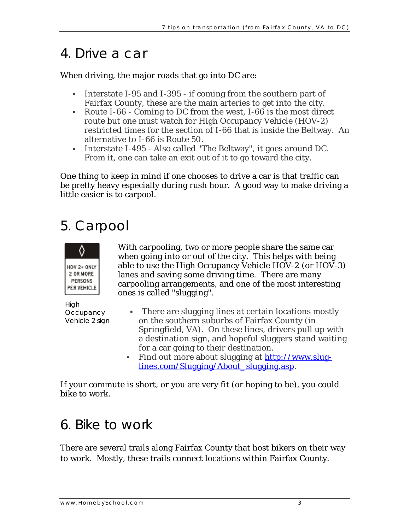#### <span id="page-5-0"></span>4. Drive a car

When driving, the major roads that go into DC are:

- Interstate I-95 and I-395 if coming from the southern part of Fairfax County, these are the main arteries to get into the city.
- Route I-66 Coming to DC from the west, I-66 is the most direct route but one must watch for High Occupancy Vehicle (HOV-2) restricted times for the section of I-66 that is inside the Beltway. An alternative to I-66 is Route 50.
- Interstate I-495 Also called "The Beltway", it goes around DC. From it, one can take an exit out of it to go toward the city.

One thing to keep in mind if one chooses to drive a car is that traffic can be pretty heavy especially during rush hour. A good way to make driving a little easier is to carpool.

#### 5. Carpool



With carpooling, two or more people share the same car when going into or out of the city. This helps with being able to use the High Occupancy Vehicle HOV-2 (or HOV-3) lanes and saving some driving time. There are many carpooling arrangements, and one of the most interesting ones is called "slugging".

High **Occupancy** 

- There are slugging lines at certain locations mostly Vehicle 2 sign on the southern suburbs of Fairfax County (in Springfield, VA). On these lines, drivers pull up with a destination sign, and hopeful sluggers stand waiting for a car going to their destination.
	- Find out more about slugging at http://www.sluglines.com/Slugging/About\_slugging.asp.

If your commute is short, or you are very fit (or hoping to be), you could bike to work.

#### 6. Bike to work

There are several trails along Fairfax County that host bikers on their way to work. Mostly, these trails connect locations within Fairfax County.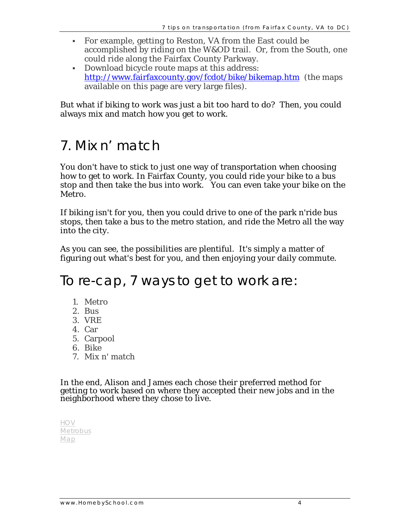- <span id="page-6-0"></span> For example, getting to Reston, VA from the East could be accomplished by riding on the W&OD trail. Or, from the South, one could ride along the Fairfax County Parkway.
- Download bicycle route maps at this address: <http://www.fairfaxcounty.gov/fcdot/bike/bikemap.htm> (the maps available on this page are very large files).

But what if biking to work was just a bit too hard to do? Then, you could always mix and match how you get to work.

#### 7. Mix n' match

You don't have to stick to just one way of transportation when choosing how to get to work. In Fairfax County, you could ride your bike to a bus stop and then take the bus into work. You can even take your bike on the Metro.

If biking isn't for you, then you could drive to one of the park n'ride bus stops, then take a bus to the metro station, and ride the Metro all the way into the city.

As you can see, the possibilities are plentiful. It's simply a matter of figuring out what's best for you, and then enjoying your daily commute.

To re-cap, 7 ways to get to work are:

- 1. Metro
- 2. Bus
- 3. VRE
- 4. Car
- 5. Carpool
- 6. Bike
- 7. Mix n' match

In the end, Alison and James each chose their preferred method for getting to work based on where they accepted their new jobs and in the neighborhood where they chose to live.

| H()     |  |
|---------|--|
| Metrobu |  |
| Man     |  |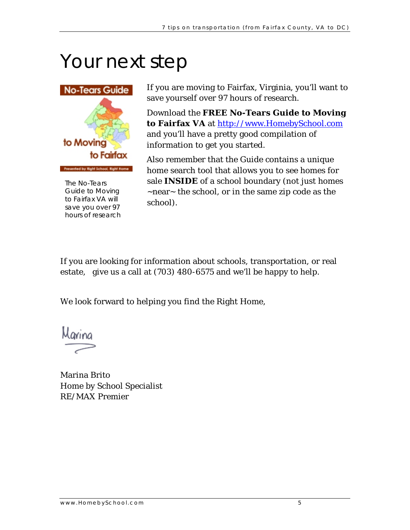# <span id="page-7-0"></span>Your next step



hours o f research Guide to Moving to Fairfax VA will save you over 97

If you are moving to Fairfax, Virginia, you'll want to save yourself over 97 hours of research.

Download the **FREE No-Tears Guide to Moving to Fairfax VA** at http://www.HomebySchool.com and you'll have a pretty good compilation of information to get you started.

home search tool that allows you to see homes for The No-Tears **sale INSIDE** of a school boundary (not just homes Also remember that the Guide contains a unique ~near~ the school, or in the same zip code as the school).

If you are looking for information about schools, transportation, or real estate, give us a call at (703) 480-6575 and we'll be happy to help.

We look forward to helping you find the Right Home,

Marina Brito Home by School Specialist RE/MAX Premier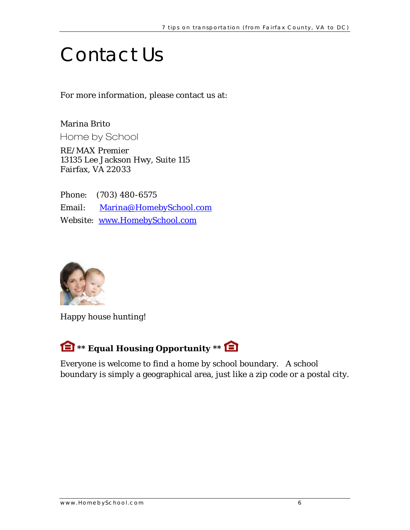## <span id="page-8-0"></span>Contact Us

For more information, please contact us at:

Marina Brito Home by School

RE/MAX Premier 13135 Lee Jackson Hwy, Suite 115 Fairfax, VA 22033

Phone: (703) 480-6575 Email: [Marina@HomebySchool.com](mailto:Marina@HomebySchool.com?subject=Question%20about%20transportation%20options) Website: [www.HomebySchool.com](http://www.homebyschool.com/)



Happy house hunting!

#### **\*\* Equal Housing Opportunity \*\***

Everyone is welcome to find a home by school boundary. A school boundary is simply a geographical area, just like a zip code or a postal city.